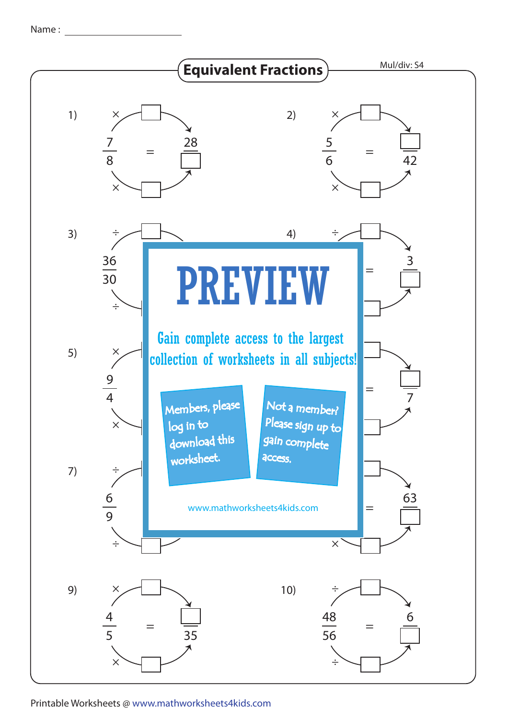